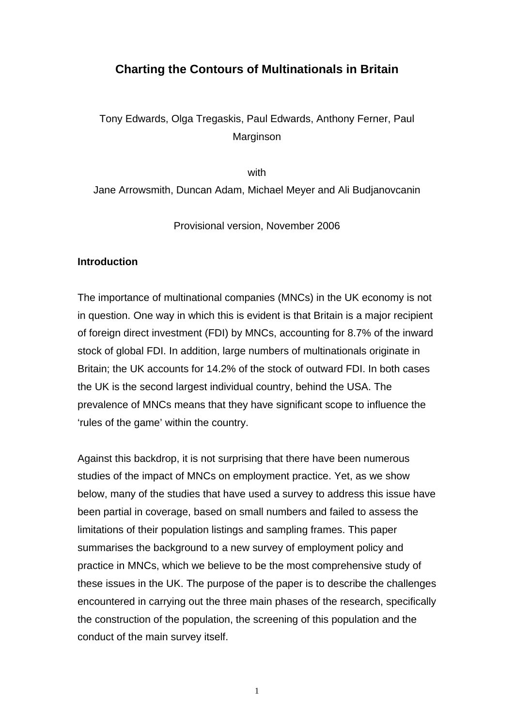# **Charting the Contours of Multinationals in Britain**

Tony Edwards, Olga Tregaskis, Paul Edwards, Anthony Ferner, Paul Marginson

with

Jane Arrowsmith, Duncan Adam, Michael Meyer and Ali Budjanovcanin

Provisional version, November 2006

## **Introduction**

The importance of multinational companies (MNCs) in the UK economy is not in question. One way in which this is evident is that Britain is a major recipient of foreign direct investment (FDI) by MNCs, accounting for 8.7% of the inward stock of global FDI. In addition, large numbers of multinationals originate in Britain; the UK accounts for 14.2% of the stock of outward FDI. In both cases the UK is the second largest individual country, behind the USA. The prevalence of MNCs means that they have significant scope to influence the 'rules of the game' within the country.

Against this backdrop, it is not surprising that there have been numerous studies of the impact of MNCs on employment practice. Yet, as we show below, many of the studies that have used a survey to address this issue have been partial in coverage, based on small numbers and failed to assess the limitations of their population listings and sampling frames. This paper summarises the background to a new survey of employment policy and practice in MNCs, which we believe to be the most comprehensive study of these issues in the UK. The purpose of the paper is to describe the challenges encountered in carrying out the three main phases of the research, specifically the construction of the population, the screening of this population and the conduct of the main survey itself.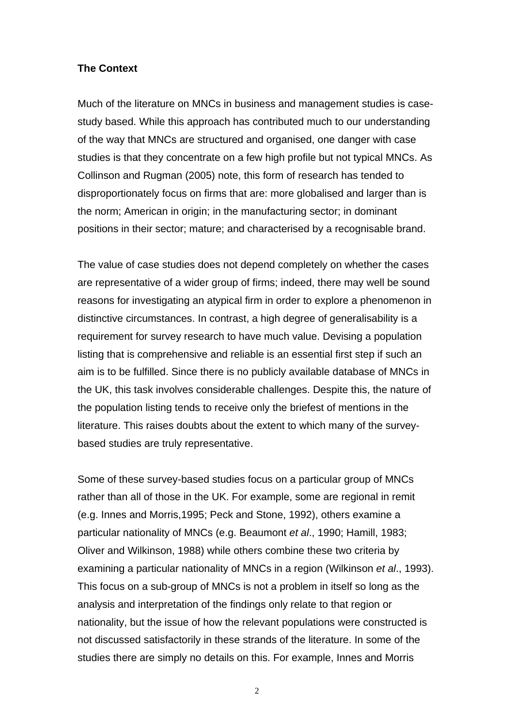### **The Context**

Much of the literature on MNCs in business and management studies is casestudy based. While this approach has contributed much to our understanding of the way that MNCs are structured and organised, one danger with case studies is that they concentrate on a few high profile but not typical MNCs. As Collinson and Rugman (2005) note, this form of research has tended to disproportionately focus on firms that are: more globalised and larger than is the norm; American in origin; in the manufacturing sector; in dominant positions in their sector; mature; and characterised by a recognisable brand.

The value of case studies does not depend completely on whether the cases are representative of a wider group of firms; indeed, there may well be sound reasons for investigating an atypical firm in order to explore a phenomenon in distinctive circumstances. In contrast, a high degree of generalisability is a requirement for survey research to have much value. Devising a population listing that is comprehensive and reliable is an essential first step if such an aim is to be fulfilled. Since there is no publicly available database of MNCs in the UK, this task involves considerable challenges. Despite this, the nature of the population listing tends to receive only the briefest of mentions in the literature. This raises doubts about the extent to which many of the surveybased studies are truly representative.

Some of these survey-based studies focus on a particular group of MNCs rather than all of those in the UK. For example, some are regional in remit (e.g. Innes and Morris,1995; Peck and Stone, 1992), others examine a particular nationality of MNCs (e.g. Beaumont *et al*., 1990; Hamill, 1983; Oliver and Wilkinson, 1988) while others combine these two criteria by examining a particular nationality of MNCs in a region (Wilkinson *et al*., 1993). This focus on a sub-group of MNCs is not a problem in itself so long as the analysis and interpretation of the findings only relate to that region or nationality, but the issue of how the relevant populations were constructed is not discussed satisfactorily in these strands of the literature. In some of the studies there are simply no details on this. For example, Innes and Morris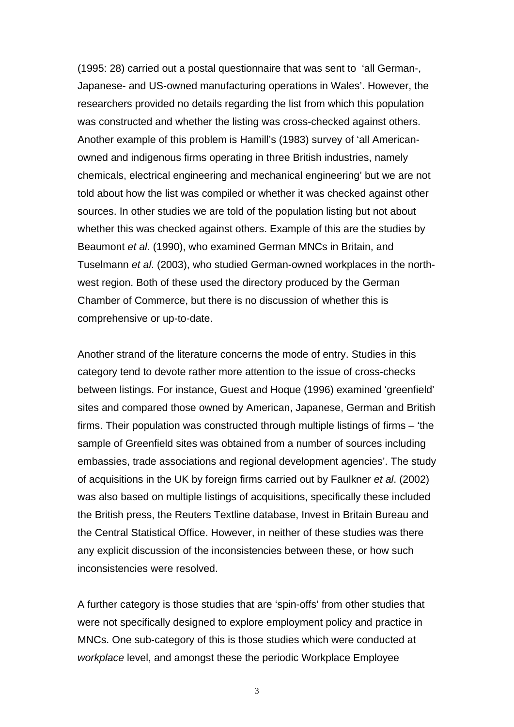(1995: 28) carried out a postal questionnaire that was sent to 'all German-, Japanese- and US-owned manufacturing operations in Wales'. However, the researchers provided no details regarding the list from which this population was constructed and whether the listing was cross-checked against others. Another example of this problem is Hamill's (1983) survey of 'all Americanowned and indigenous firms operating in three British industries, namely chemicals, electrical engineering and mechanical engineering' but we are not told about how the list was compiled or whether it was checked against other sources. In other studies we are told of the population listing but not about whether this was checked against others. Example of this are the studies by Beaumont *et al*. (1990), who examined German MNCs in Britain, and Tuselmann *et al*. (2003), who studied German-owned workplaces in the northwest region. Both of these used the directory produced by the German Chamber of Commerce, but there is no discussion of whether this is comprehensive or up-to-date.

Another strand of the literature concerns the mode of entry. Studies in this category tend to devote rather more attention to the issue of cross-checks between listings. For instance, Guest and Hoque (1996) examined 'greenfield' sites and compared those owned by American, Japanese, German and British firms. Their population was constructed through multiple listings of firms – 'the sample of Greenfield sites was obtained from a number of sources including embassies, trade associations and regional development agencies'. The study of acquisitions in the UK by foreign firms carried out by Faulkner *et al*. (2002) was also based on multiple listings of acquisitions, specifically these included the British press, the Reuters Textline database, Invest in Britain Bureau and the Central Statistical Office. However, in neither of these studies was there any explicit discussion of the inconsistencies between these, or how such inconsistencies were resolved.

A further category is those studies that are 'spin-offs' from other studies that were not specifically designed to explore employment policy and practice in MNCs. One sub-category of this is those studies which were conducted at *workplace* level, and amongst these the periodic Workplace Employee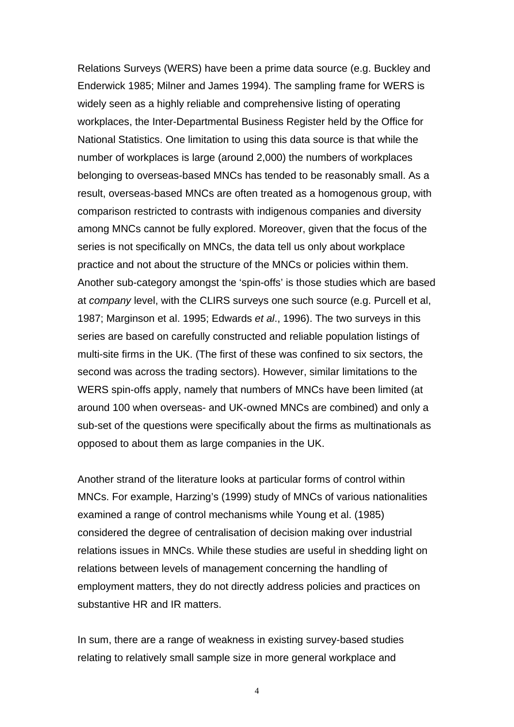Relations Surveys (WERS) have been a prime data source (e.g. Buckley and Enderwick 1985; Milner and James 1994). The sampling frame for WERS is widely seen as a highly reliable and comprehensive listing of operating workplaces, the Inter-Departmental Business Register held by the Office for National Statistics. One limitation to using this data source is that while the number of workplaces is large (around 2,000) the numbers of workplaces belonging to overseas-based MNCs has tended to be reasonably small. As a result, overseas-based MNCs are often treated as a homogenous group, with comparison restricted to contrasts with indigenous companies and diversity among MNCs cannot be fully explored. Moreover, given that the focus of the series is not specifically on MNCs, the data tell us only about workplace practice and not about the structure of the MNCs or policies within them. Another sub-category amongst the 'spin-offs' is those studies which are based at *company* level, with the CLIRS surveys one such source (e.g. Purcell et al, 1987; Marginson et al. 1995; Edwards *et al*., 1996). The two surveys in this series are based on carefully constructed and reliable population listings of multi-site firms in the UK. (The first of these was confined to six sectors, the second was across the trading sectors). However, similar limitations to the WERS spin-offs apply, namely that numbers of MNCs have been limited (at around 100 when overseas- and UK-owned MNCs are combined) and only a sub-set of the questions were specifically about the firms as multinationals as opposed to about them as large companies in the UK.

Another strand of the literature looks at particular forms of control within MNCs. For example, Harzing's (1999) study of MNCs of various nationalities examined a range of control mechanisms while Young et al. (1985) considered the degree of centralisation of decision making over industrial relations issues in MNCs. While these studies are useful in shedding light on relations between levels of management concerning the handling of employment matters, they do not directly address policies and practices on substantive HR and IR matters.

In sum, there are a range of weakness in existing survey-based studies relating to relatively small sample size in more general workplace and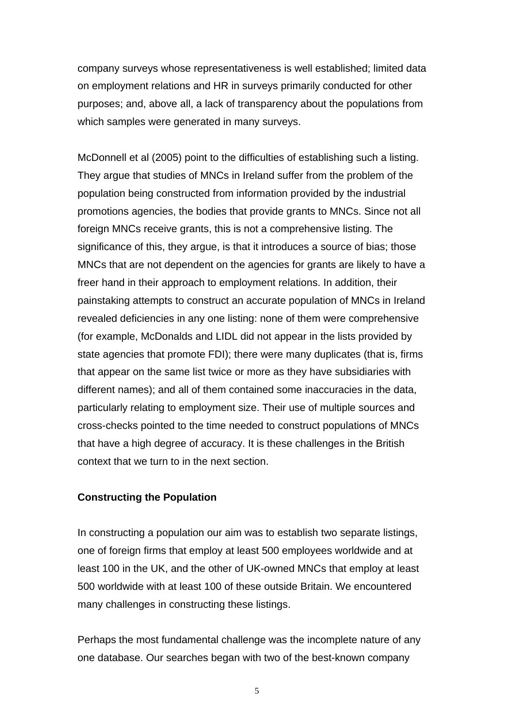company surveys whose representativeness is well established; limited data on employment relations and HR in surveys primarily conducted for other purposes; and, above all, a lack of transparency about the populations from which samples were generated in many surveys.

McDonnell et al (2005) point to the difficulties of establishing such a listing. They argue that studies of MNCs in Ireland suffer from the problem of the population being constructed from information provided by the industrial promotions agencies, the bodies that provide grants to MNCs. Since not all foreign MNCs receive grants, this is not a comprehensive listing. The significance of this, they argue, is that it introduces a source of bias; those MNCs that are not dependent on the agencies for grants are likely to have a freer hand in their approach to employment relations. In addition, their painstaking attempts to construct an accurate population of MNCs in Ireland revealed deficiencies in any one listing: none of them were comprehensive (for example, McDonalds and LIDL did not appear in the lists provided by state agencies that promote FDI); there were many duplicates (that is, firms that appear on the same list twice or more as they have subsidiaries with different names); and all of them contained some inaccuracies in the data, particularly relating to employment size. Their use of multiple sources and cross-checks pointed to the time needed to construct populations of MNCs that have a high degree of accuracy. It is these challenges in the British context that we turn to in the next section.

# **Constructing the Population**

In constructing a population our aim was to establish two separate listings, one of foreign firms that employ at least 500 employees worldwide and at least 100 in the UK, and the other of UK-owned MNCs that employ at least 500 worldwide with at least 100 of these outside Britain. We encountered many challenges in constructing these listings.

Perhaps the most fundamental challenge was the incomplete nature of any one database. Our searches began with two of the best-known company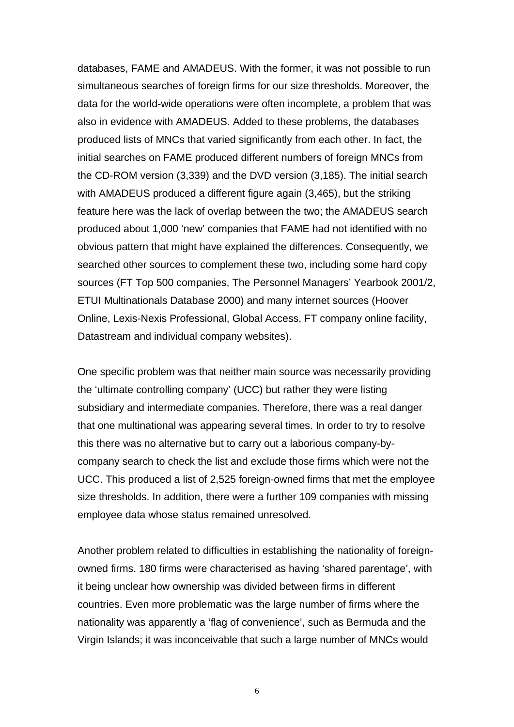databases, FAME and AMADEUS. With the former, it was not possible to run simultaneous searches of foreign firms for our size thresholds. Moreover, the data for the world-wide operations were often incomplete, a problem that was also in evidence with AMADEUS. Added to these problems, the databases produced lists of MNCs that varied significantly from each other. In fact, the initial searches on FAME produced different numbers of foreign MNCs from the CD-ROM version (3,339) and the DVD version (3,185). The initial search with AMADEUS produced a different figure again (3,465), but the striking feature here was the lack of overlap between the two; the AMADEUS search produced about 1,000 'new' companies that FAME had not identified with no obvious pattern that might have explained the differences. Consequently, we searched other sources to complement these two, including some hard copy sources (FT Top 500 companies, The Personnel Managers' Yearbook 2001/2, ETUI Multinationals Database 2000) and many internet sources (Hoover Online, Lexis-Nexis Professional, Global Access, FT company online facility, Datastream and individual company websites).

One specific problem was that neither main source was necessarily providing the 'ultimate controlling company' (UCC) but rather they were listing subsidiary and intermediate companies. Therefore, there was a real danger that one multinational was appearing several times. In order to try to resolve this there was no alternative but to carry out a laborious company-bycompany search to check the list and exclude those firms which were not the UCC. This produced a list of 2,525 foreign-owned firms that met the employee size thresholds. In addition, there were a further 109 companies with missing employee data whose status remained unresolved.

Another problem related to difficulties in establishing the nationality of foreignowned firms. 180 firms were characterised as having 'shared parentage', with it being unclear how ownership was divided between firms in different countries. Even more problematic was the large number of firms where the nationality was apparently a 'flag of convenience', such as Bermuda and the Virgin Islands; it was inconceivable that such a large number of MNCs would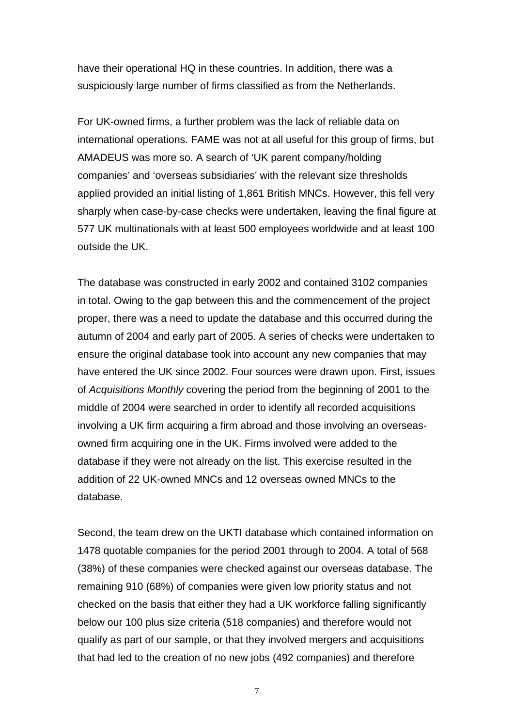have their operational HQ in these countries. In addition, there was a suspiciously large number of firms classified as from the Netherlands.

For UK-owned firms, a further problem was the lack of reliable data on international operations. FAME was not at all useful for this group of firms, but AMADEUS was more so. A search of 'UK parent company/holding companies' and 'overseas subsidiaries' with the relevant size thresholds applied provided an initial listing of 1,861 British MNCs. However, this fell very sharply when case-by-case checks were undertaken, leaving the final figure at 577 UK multinationals with at least 500 employees worldwide and at least 100 outside the UK.

The database was constructed in early 2002 and contained 3102 companies in total. Owing to the gap between this and the commencement of the project proper, there was a need to update the database and this occurred during the autumn of 2004 and early part of 2005. A series of checks were undertaken to ensure the original database took into account any new companies that may have entered the UK since 2002. Four sources were drawn upon. First, issues of *Acquisitions Monthly* covering the period from the beginning of 2001 to the middle of 2004 were searched in order to identify all recorded acquisitions involving a UK firm acquiring a firm abroad and those involving an overseasowned firm acquiring one in the UK. Firms involved were added to the database if they were not already on the list. This exercise resulted in the addition of 22 UK-owned MNCs and 12 overseas owned MNCs to the database.

Second, the team drew on the UKTI database which contained information on 1478 quotable companies for the period 2001 through to 2004. A total of 568 (38%) of these companies were checked against our overseas database. The remaining 910 (68%) of companies were given low priority status and not checked on the basis that either they had a UK workforce falling significantly below our 100 plus size criteria (518 companies) and therefore would not qualify as part of our sample, or that they involved mergers and acquisitions that had led to the creation of no new jobs (492 companies) and therefore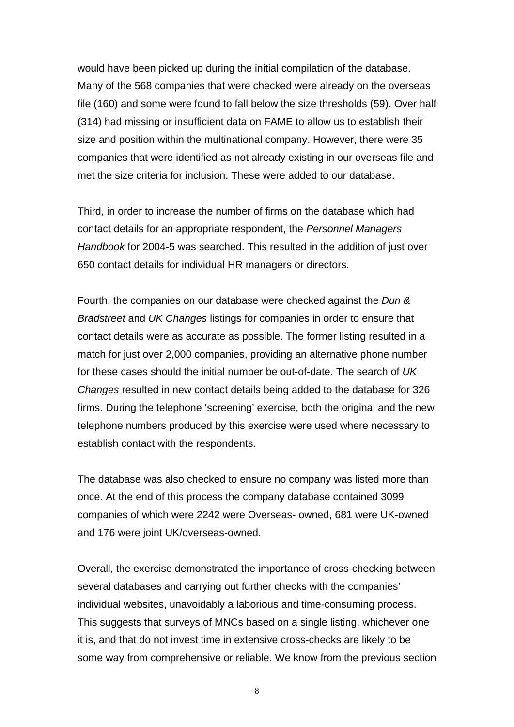would have been picked up during the initial compilation of the database. Many of the 568 companies that were checked were already on the overseas file (160) and some were found to fall below the size thresholds (59). Over half (314) had missing or insufficient data on FAME to allow us to establish their size and position within the multinational company. However, there were 35 companies that were identified as not already existing in our overseas file and met the size criteria for inclusion. These were added to our database.

Third, in order to increase the number of firms on the database which had contact details for an appropriate respondent, the *Personnel Managers Handbook* for 2004-5 was searched. This resulted in the addition of just over 650 contact details for individual HR managers or directors.

Fourth, the companies on our database were checked against the *Dun & Bradstreet* and *UK Changes* listings for companies in order to ensure that contact details were as accurate as possible. The former listing resulted in a match for just over 2,000 companies, providing an alternative phone number for these cases should the initial number be out-of-date. The search of *UK Changes* resulted in new contact details being added to the database for 326 firms. During the telephone 'screening' exercise, both the original and the new telephone numbers produced by this exercise were used where necessary to establish contact with the respondents.

The database was also checked to ensure no company was listed more than once. At the end of this process the company database contained 3099 companies of which were 2242 were Overseas- owned, 681 were UK-owned and 176 were joint UK/overseas-owned.

Overall, the exercise demonstrated the importance of cross-checking between several databases and carrying out further checks with the companies' individual websites, unavoidably a laborious and time-consuming process. This suggests that surveys of MNCs based on a single listing, whichever one it is, and that do not invest time in extensive cross-checks are likely to be some way from comprehensive or reliable. We know from the previous section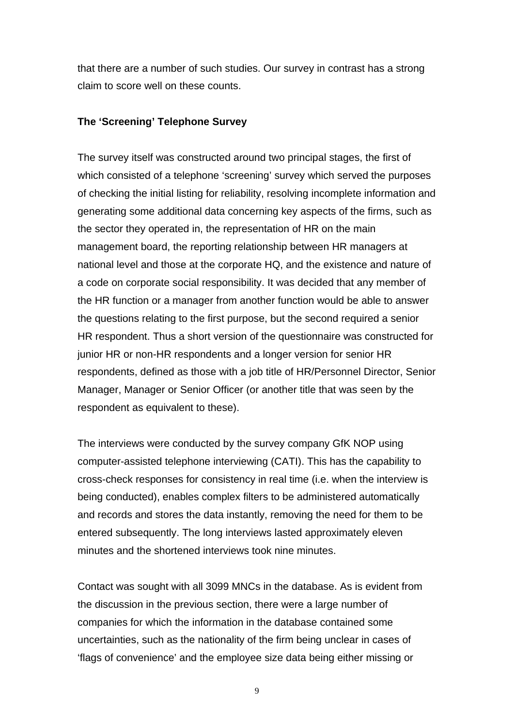that there are a number of such studies. Our survey in contrast has a strong claim to score well on these counts.

# **The 'Screening' Telephone Survey**

The survey itself was constructed around two principal stages, the first of which consisted of a telephone 'screening' survey which served the purposes of checking the initial listing for reliability, resolving incomplete information and generating some additional data concerning key aspects of the firms, such as the sector they operated in, the representation of HR on the main management board, the reporting relationship between HR managers at national level and those at the corporate HQ, and the existence and nature of a code on corporate social responsibility. It was decided that any member of the HR function or a manager from another function would be able to answer the questions relating to the first purpose, but the second required a senior HR respondent. Thus a short version of the questionnaire was constructed for junior HR or non-HR respondents and a longer version for senior HR respondents, defined as those with a job title of HR/Personnel Director, Senior Manager, Manager or Senior Officer (or another title that was seen by the respondent as equivalent to these).

The interviews were conducted by the survey company GfK NOP using computer-assisted telephone interviewing (CATI). This has the capability to cross-check responses for consistency in real time (i.e. when the interview is being conducted), enables complex filters to be administered automatically and records and stores the data instantly, removing the need for them to be entered subsequently. The long interviews lasted approximately eleven minutes and the shortened interviews took nine minutes.

Contact was sought with all 3099 MNCs in the database. As is evident from the discussion in the previous section, there were a large number of companies for which the information in the database contained some uncertainties, such as the nationality of the firm being unclear in cases of 'flags of convenience' and the employee size data being either missing or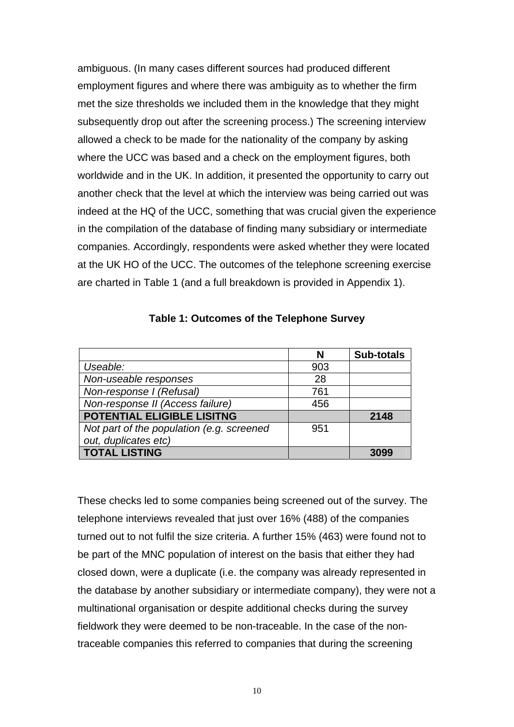ambiguous. (In many cases different sources had produced different employment figures and where there was ambiguity as to whether the firm met the size thresholds we included them in the knowledge that they might subsequently drop out after the screening process.) The screening interview allowed a check to be made for the nationality of the company by asking where the UCC was based and a check on the employment figures, both worldwide and in the UK. In addition, it presented the opportunity to carry out another check that the level at which the interview was being carried out was indeed at the HQ of the UCC, something that was crucial given the experience in the compilation of the database of finding many subsidiary or intermediate companies. Accordingly, respondents were asked whether they were located at the UK HO of the UCC. The outcomes of the telephone screening exercise are charted in Table 1 (and a full breakdown is provided in Appendix 1).

|                                           | N   | <b>Sub-totals</b> |
|-------------------------------------------|-----|-------------------|
| Useable:                                  | 903 |                   |
| Non-useable responses                     | 28  |                   |
| Non-response I (Refusal)                  | 761 |                   |
| Non-response II (Access failure)          | 456 |                   |
| POTENTIAL ELIGIBLE LISITNG                |     | 2148              |
| Not part of the population (e.g. screened | 951 |                   |
| out, duplicates etc)                      |     |                   |
| <b>TOTAL LISTING</b>                      |     |                   |

## **Table 1: Outcomes of the Telephone Survey**

These checks led to some companies being screened out of the survey. The telephone interviews revealed that just over 16% (488) of the companies turned out to not fulfil the size criteria. A further 15% (463) were found not to be part of the MNC population of interest on the basis that either they had closed down, were a duplicate (i.e. the company was already represented in the database by another subsidiary or intermediate company), they were not a multinational organisation or despite additional checks during the survey fieldwork they were deemed to be non-traceable. In the case of the nontraceable companies this referred to companies that during the screening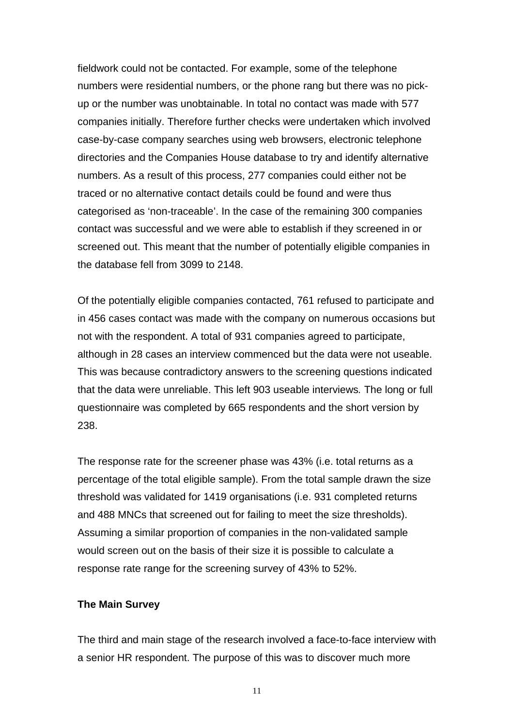fieldwork could not be contacted. For example, some of the telephone numbers were residential numbers, or the phone rang but there was no pickup or the number was unobtainable. In total no contact was made with 577 companies initially. Therefore further checks were undertaken which involved case-by-case company searches using web browsers, electronic telephone directories and the Companies House database to try and identify alternative numbers. As a result of this process, 277 companies could either not be traced or no alternative contact details could be found and were thus categorised as 'non-traceable'. In the case of the remaining 300 companies contact was successful and we were able to establish if they screened in or screened out. This meant that the number of potentially eligible companies in the database fell from 3099 to 2148.

Of the potentially eligible companies contacted, 761 refused to participate and in 456 cases contact was made with the company on numerous occasions but not with the respondent. A total of 931 companies agreed to participate, although in 28 cases an interview commenced but the data were not useable. This was because contradictory answers to the screening questions indicated that the data were unreliable. This left 903 useable interviews*.* The long or full questionnaire was completed by 665 respondents and the short version by 238.

The response rate for the screener phase was 43% (i.e. total returns as a percentage of the total eligible sample). From the total sample drawn the size threshold was validated for 1419 organisations (i.e. 931 completed returns and 488 MNCs that screened out for failing to meet the size thresholds). Assuming a similar proportion of companies in the non-validated sample would screen out on the basis of their size it is possible to calculate a response rate range for the screening survey of 43% to 52%.

#### **The Main Survey**

The third and main stage of the research involved a face-to-face interview with a senior HR respondent. The purpose of this was to discover much more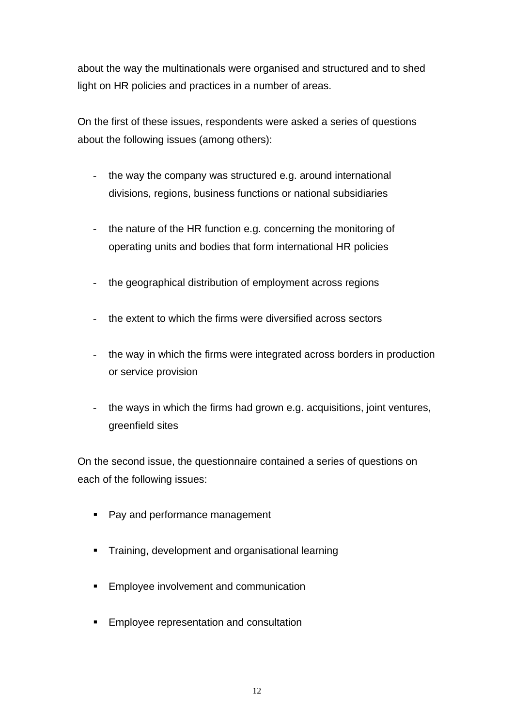about the way the multinationals were organised and structured and to shed light on HR policies and practices in a number of areas.

On the first of these issues, respondents were asked a series of questions about the following issues (among others):

- the way the company was structured e.g. around international divisions, regions, business functions or national subsidiaries
- the nature of the HR function e.g. concerning the monitoring of operating units and bodies that form international HR policies
- the geographical distribution of employment across regions
- the extent to which the firms were diversified across sectors
- the way in which the firms were integrated across borders in production or service provision
- the ways in which the firms had grown e.g. acquisitions, joint ventures, greenfield sites

On the second issue, the questionnaire contained a series of questions on each of the following issues:

- Pay and performance management
- **Training, development and organisational learning**
- Employee involvement and communication
- Employee representation and consultation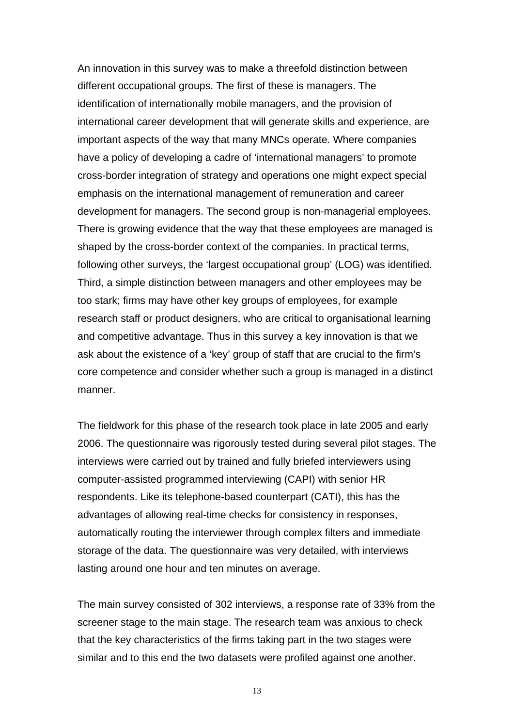An innovation in this survey was to make a threefold distinction between different occupational groups. The first of these is managers. The identification of internationally mobile managers, and the provision of international career development that will generate skills and experience, are important aspects of the way that many MNCs operate. Where companies have a policy of developing a cadre of 'international managers' to promote cross-border integration of strategy and operations one might expect special emphasis on the international management of remuneration and career development for managers. The second group is non-managerial employees. There is growing evidence that the way that these employees are managed is shaped by the cross-border context of the companies. In practical terms, following other surveys, the 'largest occupational group' (LOG) was identified. Third, a simple distinction between managers and other employees may be too stark; firms may have other key groups of employees, for example research staff or product designers, who are critical to organisational learning and competitive advantage. Thus in this survey a key innovation is that we ask about the existence of a 'key' group of staff that are crucial to the firm's core competence and consider whether such a group is managed in a distinct manner.

The fieldwork for this phase of the research took place in late 2005 and early 2006. The questionnaire was rigorously tested during several pilot stages. The interviews were carried out by trained and fully briefed interviewers using computer-assisted programmed interviewing (CAPI) with senior HR respondents. Like its telephone-based counterpart (CATI), this has the advantages of allowing real-time checks for consistency in responses, automatically routing the interviewer through complex filters and immediate storage of the data. The questionnaire was very detailed, with interviews lasting around one hour and ten minutes on average.

The main survey consisted of 302 interviews, a response rate of 33% from the screener stage to the main stage. The research team was anxious to check that the key characteristics of the firms taking part in the two stages were similar and to this end the two datasets were profiled against one another.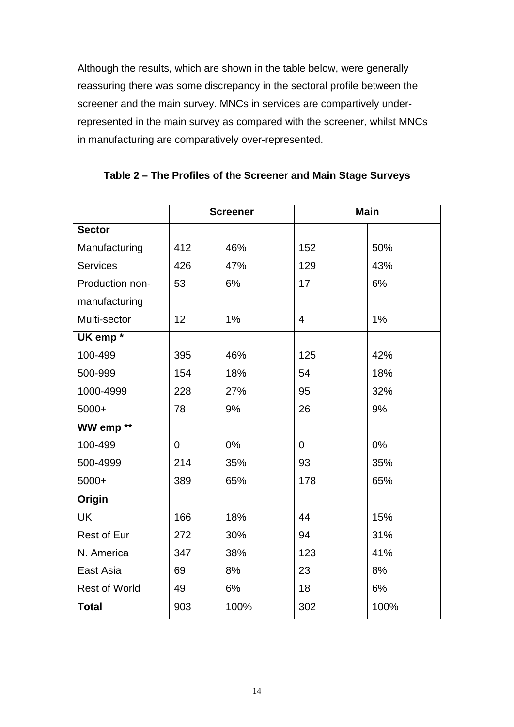Although the results, which are shown in the table below, were generally reassuring there was some discrepancy in the sectoral profile between the screener and the main survey. MNCs in services are compartively underrepresented in the main survey as compared with the screener, whilst MNCs in manufacturing are comparatively over-represented.

|                      |             | <b>Screener</b> | <b>Main</b>    |      |  |
|----------------------|-------------|-----------------|----------------|------|--|
| <b>Sector</b>        |             |                 |                |      |  |
| Manufacturing        | 412         | 46%             | 152            | 50%  |  |
| <b>Services</b>      | 426         | 47%             | 129            | 43%  |  |
| Production non-      | 53          | 6%              | 17             | 6%   |  |
| manufacturing        |             |                 |                |      |  |
| Multi-sector         | 12          | 1%              | $\overline{4}$ | 1%   |  |
| UK emp <sup>*</sup>  |             |                 |                |      |  |
| 100-499              | 395         | 46%             | 125            | 42%  |  |
| 500-999              | 154         | 18%             | 54             | 18%  |  |
| 1000-4999            | 228         | 27%             | 95             | 32%  |  |
| 5000+                | 78          | 9%              | 26             | 9%   |  |
| WW emp <sup>**</sup> |             |                 |                |      |  |
| 100-499              | $\mathbf 0$ | 0%              | $\mathbf 0$    | 0%   |  |
| 500-4999             | 214         | 35%             | 93             | 35%  |  |
| 5000+                | 389         | 65%             | 178            | 65%  |  |
| Origin               |             |                 |                |      |  |
| <b>UK</b>            | 166         | 18%             | 44             | 15%  |  |
| <b>Rest of Eur</b>   | 272         | 30%             | 94             | 31%  |  |
| N. America           | 347         | 38%             | 123            | 41%  |  |
| East Asia            | 69          | 8%              | 23             | 8%   |  |
| <b>Rest of World</b> | 49          | 6%              | 18             | 6%   |  |
| <b>Total</b>         | 903         | 100%            | 302            | 100% |  |

**Table 2 – The Profiles of the Screener and Main Stage Surveys**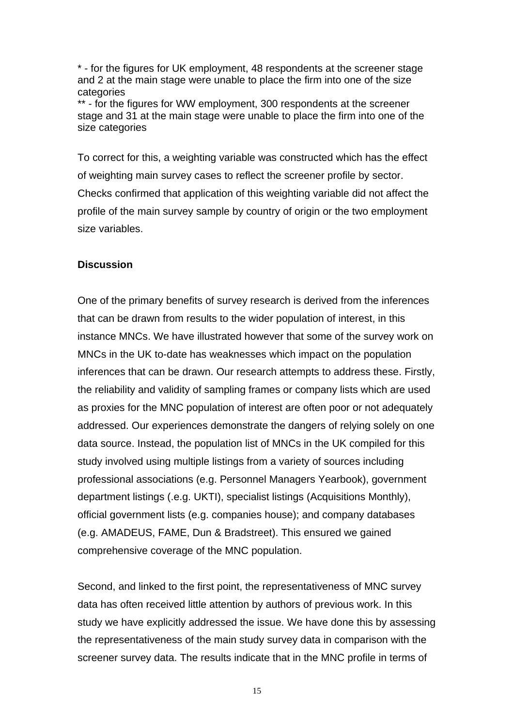\* - for the figures for UK employment, 48 respondents at the screener stage and 2 at the main stage were unable to place the firm into one of the size categories

\*\* - for the figures for WW employment, 300 respondents at the screener stage and 31 at the main stage were unable to place the firm into one of the size categories

To correct for this, a weighting variable was constructed which has the effect of weighting main survey cases to reflect the screener profile by sector. Checks confirmed that application of this weighting variable did not affect the profile of the main survey sample by country of origin or the two employment size variables.

#### **Discussion**

One of the primary benefits of survey research is derived from the inferences that can be drawn from results to the wider population of interest, in this instance MNCs. We have illustrated however that some of the survey work on MNCs in the UK to-date has weaknesses which impact on the population inferences that can be drawn. Our research attempts to address these. Firstly, the reliability and validity of sampling frames or company lists which are used as proxies for the MNC population of interest are often poor or not adequately addressed. Our experiences demonstrate the dangers of relying solely on one data source. Instead, the population list of MNCs in the UK compiled for this study involved using multiple listings from a variety of sources including professional associations (e.g. Personnel Managers Yearbook), government department listings (.e.g. UKTI), specialist listings (Acquisitions Monthly), official government lists (e.g. companies house); and company databases (e.g. AMADEUS, FAME, Dun & Bradstreet). This ensured we gained comprehensive coverage of the MNC population.

Second, and linked to the first point, the representativeness of MNC survey data has often received little attention by authors of previous work. In this study we have explicitly addressed the issue. We have done this by assessing the representativeness of the main study survey data in comparison with the screener survey data. The results indicate that in the MNC profile in terms of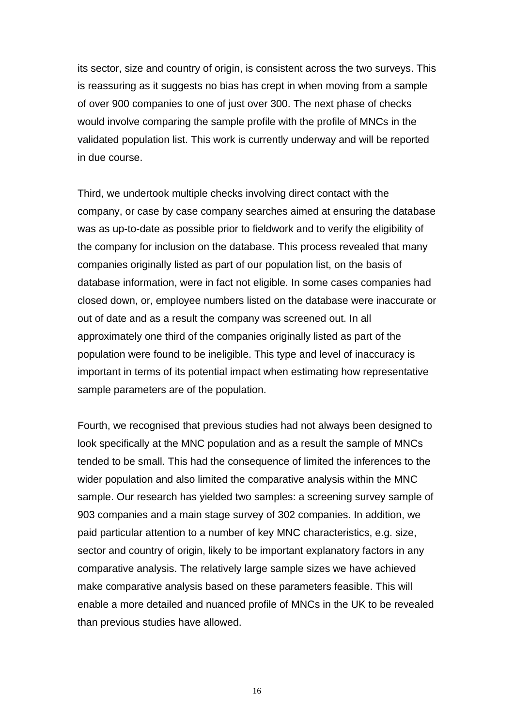its sector, size and country of origin, is consistent across the two surveys. This is reassuring as it suggests no bias has crept in when moving from a sample of over 900 companies to one of just over 300. The next phase of checks would involve comparing the sample profile with the profile of MNCs in the validated population list. This work is currently underway and will be reported in due course.

Third, we undertook multiple checks involving direct contact with the company, or case by case company searches aimed at ensuring the database was as up-to-date as possible prior to fieldwork and to verify the eligibility of the company for inclusion on the database. This process revealed that many companies originally listed as part of our population list, on the basis of database information, were in fact not eligible. In some cases companies had closed down, or, employee numbers listed on the database were inaccurate or out of date and as a result the company was screened out. In all approximately one third of the companies originally listed as part of the population were found to be ineligible. This type and level of inaccuracy is important in terms of its potential impact when estimating how representative sample parameters are of the population.

Fourth, we recognised that previous studies had not always been designed to look specifically at the MNC population and as a result the sample of MNCs tended to be small. This had the consequence of limited the inferences to the wider population and also limited the comparative analysis within the MNC sample. Our research has yielded two samples: a screening survey sample of 903 companies and a main stage survey of 302 companies. In addition, we paid particular attention to a number of key MNC characteristics, e.g. size, sector and country of origin, likely to be important explanatory factors in any comparative analysis. The relatively large sample sizes we have achieved make comparative analysis based on these parameters feasible. This will enable a more detailed and nuanced profile of MNCs in the UK to be revealed than previous studies have allowed.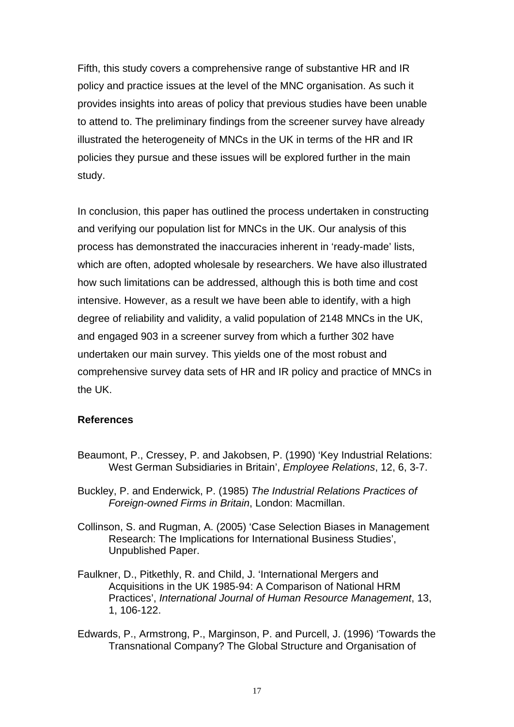Fifth, this study covers a comprehensive range of substantive HR and IR policy and practice issues at the level of the MNC organisation. As such it provides insights into areas of policy that previous studies have been unable to attend to. The preliminary findings from the screener survey have already illustrated the heterogeneity of MNCs in the UK in terms of the HR and IR policies they pursue and these issues will be explored further in the main study.

In conclusion, this paper has outlined the process undertaken in constructing and verifying our population list for MNCs in the UK. Our analysis of this process has demonstrated the inaccuracies inherent in 'ready-made' lists, which are often, adopted wholesale by researchers. We have also illustrated how such limitations can be addressed, although this is both time and cost intensive. However, as a result we have been able to identify, with a high degree of reliability and validity, a valid population of 2148 MNCs in the UK, and engaged 903 in a screener survey from which a further 302 have undertaken our main survey. This yields one of the most robust and comprehensive survey data sets of HR and IR policy and practice of MNCs in the UK.

# **References**

- Beaumont, P., Cressey, P. and Jakobsen, P. (1990) 'Key Industrial Relations: West German Subsidiaries in Britain', *Employee Relations*, 12, 6, 3-7.
- Buckley, P. and Enderwick, P. (1985) *The Industrial Relations Practices of Foreign-owned Firms in Britain*, London: Macmillan.
- Collinson, S. and Rugman, A. (2005) 'Case Selection Biases in Management Research: The Implications for International Business Studies', Unpublished Paper.
- Faulkner, D., Pitkethly, R. and Child, J. 'International Mergers and Acquisitions in the UK 1985-94: A Comparison of National HRM Practices', *International Journal of Human Resource Management*, 13, 1, 106-122.
- Edwards, P., Armstrong, P., Marginson, P. and Purcell, J. (1996) 'Towards the Transnational Company? The Global Structure and Organisation of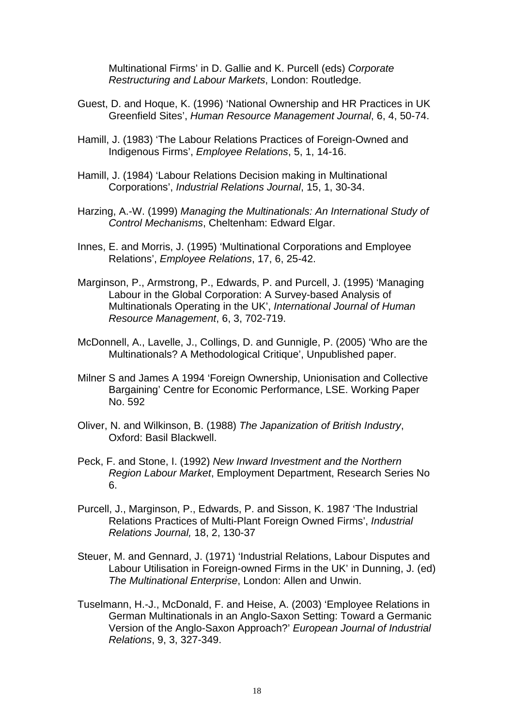Multinational Firms' in D. Gallie and K. Purcell (eds) *Corporate Restructuring and Labour Markets*, London: Routledge.

- Guest, D. and Hoque, K. (1996) 'National Ownership and HR Practices in UK Greenfield Sites', *Human Resource Management Journal*, 6, 4, 50-74.
- Hamill, J. (1983) 'The Labour Relations Practices of Foreign-Owned and Indigenous Firms', *Employee Relations*, 5, 1, 14-16.
- Hamill, J. (1984) 'Labour Relations Decision making in Multinational Corporations', *Industrial Relations Journal*, 15, 1, 30-34.
- Harzing, A.-W. (1999) *Managing the Multinationals: An International Study of Control Mechanisms*, Cheltenham: Edward Elgar.
- Innes, E. and Morris, J. (1995) 'Multinational Corporations and Employee Relations', *Employee Relations*, 17, 6, 25-42.
- Marginson, P., Armstrong, P., Edwards, P. and Purcell, J. (1995) 'Managing Labour in the Global Corporation: A Survey-based Analysis of Multinationals Operating in the UK', *International Journal of Human Resource Management*, 6, 3, 702-719.
- McDonnell, A., Lavelle, J., Collings, D. and Gunnigle, P. (2005) 'Who are the Multinationals? A Methodological Critique', Unpublished paper.
- Milner S and James A 1994 'Foreign Ownership, Unionisation and Collective Bargaining' Centre for Economic Performance, LSE. Working Paper No. 592
- Oliver, N. and Wilkinson, B. (1988) *The Japanization of British Industry*, Oxford: Basil Blackwell.
- Peck, F. and Stone, I. (1992) *New Inward Investment and the Northern Region Labour Market*, Employment Department, Research Series No 6.
- Purcell, J., Marginson, P., Edwards, P. and Sisson, K. 1987 'The Industrial Relations Practices of Multi-Plant Foreign Owned Firms', *Industrial Relations Journal,* 18, 2, 130-37
- Steuer, M. and Gennard, J. (1971) 'Industrial Relations, Labour Disputes and Labour Utilisation in Foreign-owned Firms in the UK' in Dunning, J. (ed) *The Multinational Enterprise*, London: Allen and Unwin.
- Tuselmann, H.-J., McDonald, F. and Heise, A. (2003) 'Employee Relations in German Multinationals in an Anglo-Saxon Setting: Toward a Germanic Version of the Anglo-Saxon Approach?' *European Journal of Industrial Relations*, 9, 3, 327-349.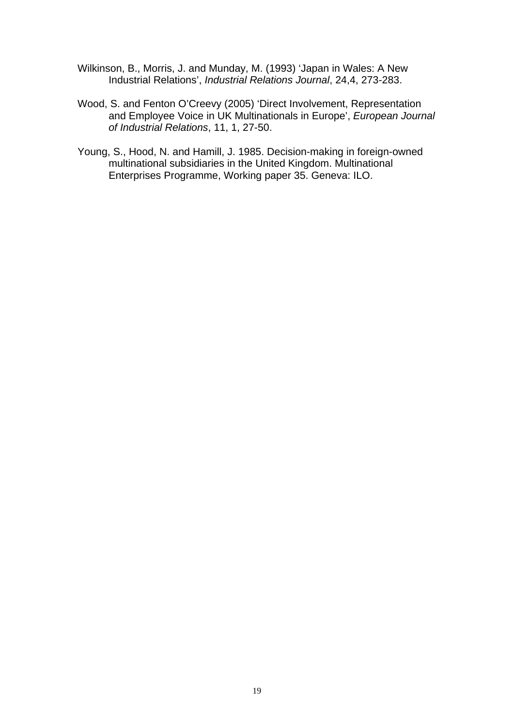- Wilkinson, B., Morris, J. and Munday, M. (1993) 'Japan in Wales: A New Industrial Relations', *Industrial Relations Journal*, 24,4, 273-283.
- Wood, S. and Fenton O'Creevy (2005) 'Direct Involvement, Representation and Employee Voice in UK Multinationals in Europe', *European Journal of Industrial Relations*, 11, 1, 27-50.
- Young, S., Hood, N. and Hamill, J. 1985. Decision-making in foreign-owned multinational subsidiaries in the United Kingdom. Multinational Enterprises Programme, Working paper 35. Geneva: ILO.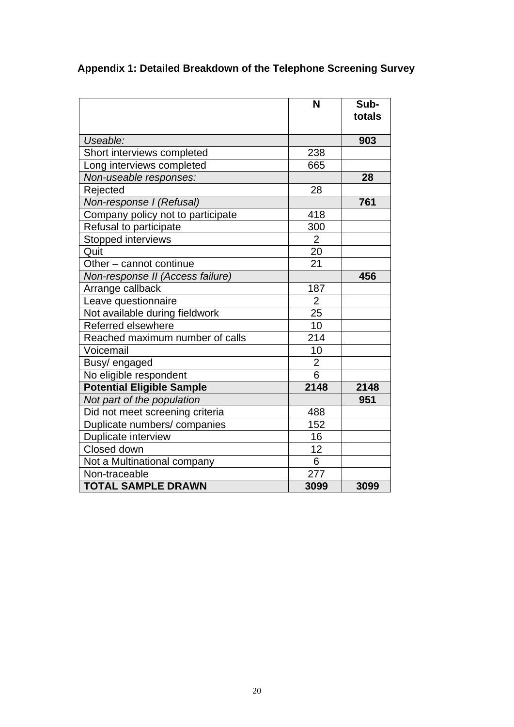|                                   | N              | Sub-<br>totals |
|-----------------------------------|----------------|----------------|
| Useable:                          |                | 903            |
| Short interviews completed        | 238            |                |
| Long interviews completed         | 665            |                |
| Non-useable responses:            |                | 28             |
| Rejected                          | 28             |                |
| Non-response I (Refusal)          |                | 761            |
| Company policy not to participate | 418            |                |
| Refusal to participate            | 300            |                |
| Stopped interviews                | $\overline{2}$ |                |
| Quit                              | 20             |                |
| Other - cannot continue           | 21             |                |
| Non-response II (Access failure)  |                | 456            |
| Arrange callback                  | 187            |                |
| Leave questionnaire               | $\overline{2}$ |                |
| Not available during fieldwork    | 25             |                |
| Referred elsewhere                | 10             |                |
| Reached maximum number of calls   | 214            |                |
| Voicemail                         | 10             |                |
| Busy/ engaged                     | $\overline{c}$ |                |
| No eligible respondent            | $\overline{6}$ |                |
| <b>Potential Eligible Sample</b>  | 2148           | 2148           |
| Not part of the population        |                | 951            |
| Did not meet screening criteria   | 488            |                |
| Duplicate numbers/companies       | 152            |                |
| Duplicate interview               | 16             |                |
| Closed down                       | 12             |                |
| Not a Multinational company       | 6              |                |
| Non-traceable                     | 277            |                |
| <b>TOTAL SAMPLE DRAWN</b>         | 3099           | 3099           |

# **Appendix 1: Detailed Breakdown of the Telephone Screening Survey**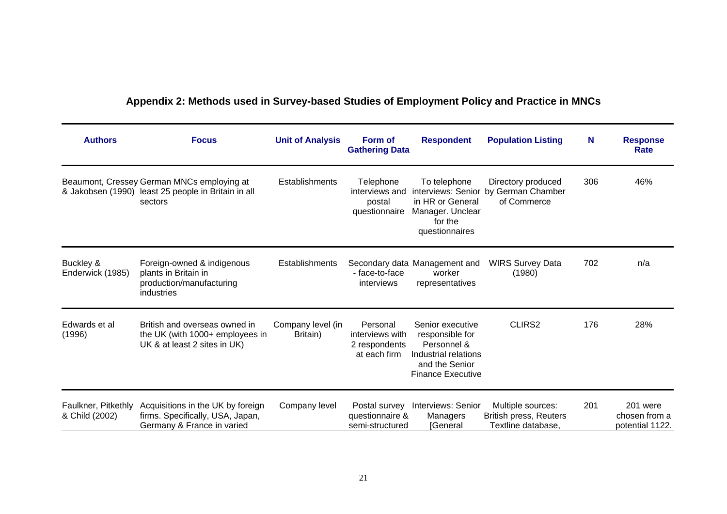# **Appendix 2: Methods used in Survey-based Studies of Employment Policy and Practice in MNCs**

| <b>Authors</b>                        | <b>Focus</b>                                                                                                 | <b>Unit of Analysis</b>       | Form of<br><b>Gathering Data</b>                             | <b>Respondent</b>                                                                                                        | <b>Population Listing</b>                                                | N   | <b>Response</b><br>Rate                      |
|---------------------------------------|--------------------------------------------------------------------------------------------------------------|-------------------------------|--------------------------------------------------------------|--------------------------------------------------------------------------------------------------------------------------|--------------------------------------------------------------------------|-----|----------------------------------------------|
|                                       | Beaumont, Cressey German MNCs employing at<br>& Jakobsen (1990) least 25 people in Britain in all<br>sectors | Establishments                | Telephone<br>interviews and<br>postal<br>questionnaire       | To telephone<br>interviews: Senior<br>in HR or General<br>Manager. Unclear<br>for the<br>questionnaires                  | Directory produced<br>by German Chamber<br>of Commerce                   | 306 | 46%                                          |
| Buckley &<br>Enderwick (1985)         | Foreign-owned & indigenous<br>plants in Britain in<br>production/manufacturing<br>industries                 | Establishments                | - face-to-face<br>interviews                                 | Secondary data Management and<br>worker<br>representatives                                                               | <b>WIRS Survey Data</b><br>(1980)                                        | 702 | n/a                                          |
| Edwards et al<br>(1996)               | British and overseas owned in<br>the UK (with 1000+ employees in<br>UK & at least 2 sites in UK)             | Company level (in<br>Britain) | Personal<br>interviews with<br>2 respondents<br>at each firm | Senior executive<br>responsible for<br>Personnel &<br>Industrial relations<br>and the Senior<br><b>Finance Executive</b> | CLIRS <sub>2</sub>                                                       | 176 | 28%                                          |
| Faulkner, Pitkethly<br>& Child (2002) | Acquisitions in the UK by foreign<br>firms. Specifically, USA, Japan,<br>Germany & France in varied          | Company level                 | Postal survey<br>questionnaire &<br>semi-structured          | Interviews: Senior<br>Managers<br>[General                                                                               | Multiple sources:<br><b>British press, Reuters</b><br>Textline database. | 201 | 201 were<br>chosen from a<br>potential 1122. |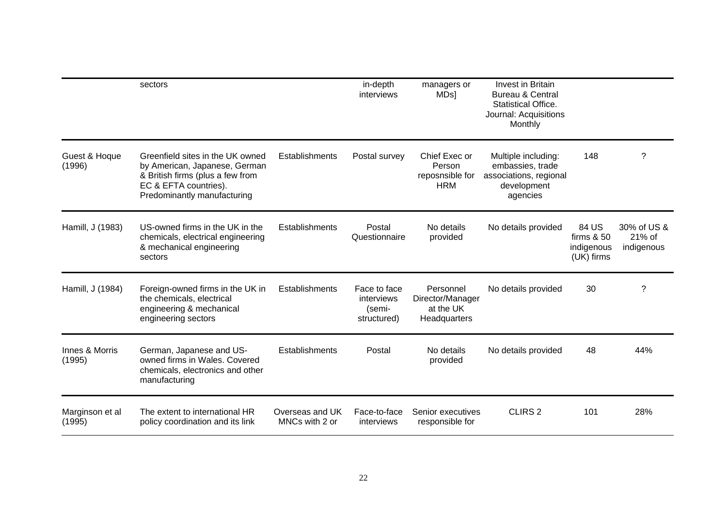|                           | sectors                                                                                                                                                       |                                   | in-depth<br>interviews                              | managers or<br>MD <sub>s</sub>                             | Invest in Britain<br><b>Bureau &amp; Central</b><br><b>Statistical Office.</b><br>Journal: Acquisitions<br>Monthly |                                                   |                                     |
|---------------------------|---------------------------------------------------------------------------------------------------------------------------------------------------------------|-----------------------------------|-----------------------------------------------------|------------------------------------------------------------|--------------------------------------------------------------------------------------------------------------------|---------------------------------------------------|-------------------------------------|
| Guest & Hoque<br>(1996)   | Greenfield sites in the UK owned<br>by American, Japanese, German<br>& British firms (plus a few from<br>EC & EFTA countries).<br>Predominantly manufacturing | Establishments                    | Postal survey                                       | Chief Exec or<br>Person<br>reposnsible for<br><b>HRM</b>   | Multiple including:<br>embassies, trade<br>associations, regional<br>development<br>agencies                       | 148                                               | ?                                   |
| Hamill, J (1983)          | US-owned firms in the UK in the<br>chemicals, electrical engineering<br>& mechanical engineering<br>sectors                                                   | Establishments                    | Postal<br>Questionnaire                             | No details<br>provided                                     | No details provided                                                                                                | 84 US<br>firms $& 50$<br>indigenous<br>(UK) firms | 30% of US &<br>21% of<br>indigenous |
| Hamill, J (1984)          | Foreign-owned firms in the UK in<br>the chemicals, electrical<br>engineering & mechanical<br>engineering sectors                                              | Establishments                    | Face to face<br>interviews<br>(semi-<br>structured) | Personnel<br>Director/Manager<br>at the UK<br>Headquarters | No details provided                                                                                                | 30                                                | ?                                   |
| Innes & Morris<br>(1995)  | German, Japanese and US-<br>owned firms in Wales, Covered<br>chemicals, electronics and other<br>manufacturing                                                | Establishments                    | Postal                                              | No details<br>provided                                     | No details provided                                                                                                | 48                                                | 44%                                 |
| Marginson et al<br>(1995) | The extent to international HR<br>policy coordination and its link                                                                                            | Overseas and UK<br>MNCs with 2 or | Face-to-face<br>interviews                          | Senior executives<br>responsible for                       | CLIRS <sub>2</sub>                                                                                                 | 101                                               | 28%                                 |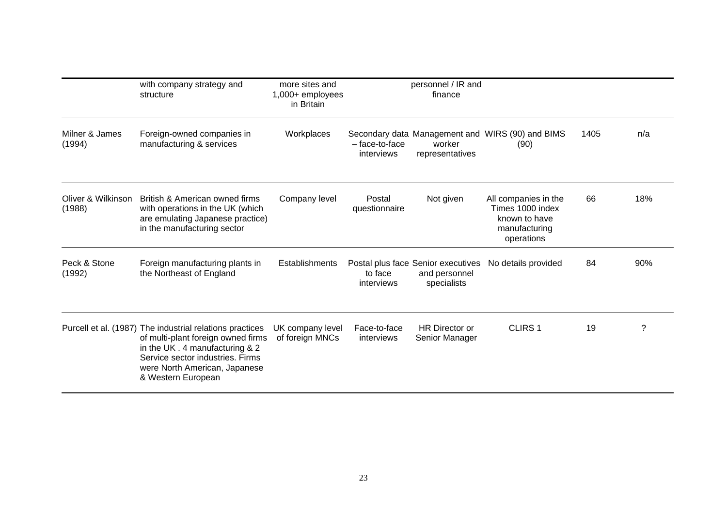|                              | with company strategy and<br>structure                                                                                                                                                                                       | more sites and<br>$1,000+$ employees<br>in Britain |                              | personnel / IR and<br>finance                                      |                                                                                          |      |     |
|------------------------------|------------------------------------------------------------------------------------------------------------------------------------------------------------------------------------------------------------------------------|----------------------------------------------------|------------------------------|--------------------------------------------------------------------|------------------------------------------------------------------------------------------|------|-----|
| Milner & James<br>(1994)     | Foreign-owned companies in<br>manufacturing & services                                                                                                                                                                       | Workplaces                                         | - face-to-face<br>interviews | worker<br>representatives                                          | Secondary data Management and WIRS (90) and BIMS<br>(90)                                 | 1405 | n/a |
| Oliver & Wilkinson<br>(1988) | British & American owned firms<br>with operations in the UK (which<br>are emulating Japanese practice)<br>in the manufacturing sector                                                                                        | Company level                                      | Postal<br>questionnaire      | Not given                                                          | All companies in the<br>Times 1000 index<br>known to have<br>manufacturing<br>operations | 66   | 18% |
| Peck & Stone<br>(1992)       | Foreign manufacturing plants in<br>the Northeast of England                                                                                                                                                                  | <b>Establishments</b>                              | to face<br>interviews        | Postal plus face Senior executives<br>and personnel<br>specialists | No details provided                                                                      | 84   | 90% |
|                              | Purcell et al. (1987) The industrial relations practices<br>of multi-plant foreign owned firms<br>in the UK . 4 manufacturing & 2<br>Service sector industries. Firms<br>were North American, Japanese<br>& Western European | UK company level<br>of foreign MNCs                | Face-to-face<br>interviews   | <b>HR Director or</b><br>Senior Manager                            | CLIRS <sub>1</sub>                                                                       | 19   | 7   |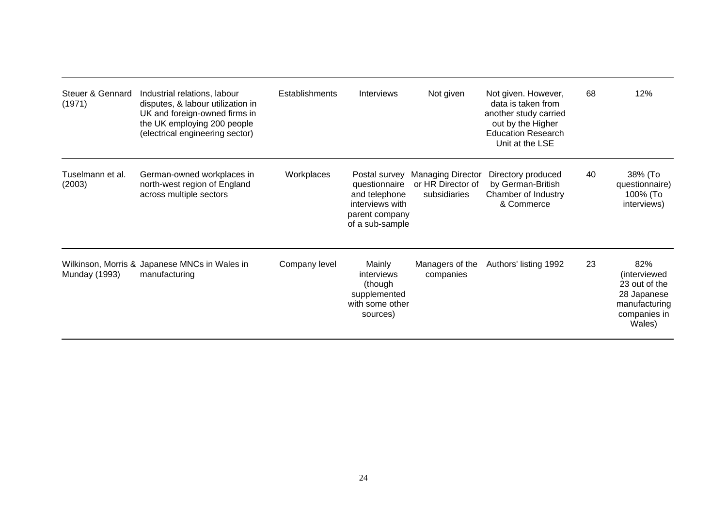| Steuer & Gennard<br>(1971) | Industrial relations, labour<br>disputes, & labour utilization in<br>UK and foreign-owned firms in<br>the UK employing 200 people<br>(electrical engineering sector) | <b>Establishments</b> | <b>Interviews</b>                                                                                       | Not given                                                     | Not given. However,<br>data is taken from<br>another study carried<br>out by the Higher<br><b>Education Research</b><br>Unit at the LSE | 68 | 12%                                                                                            |
|----------------------------|----------------------------------------------------------------------------------------------------------------------------------------------------------------------|-----------------------|---------------------------------------------------------------------------------------------------------|---------------------------------------------------------------|-----------------------------------------------------------------------------------------------------------------------------------------|----|------------------------------------------------------------------------------------------------|
| Tuselmann et al.<br>(2003) | German-owned workplaces in<br>north-west region of England<br>across multiple sectors                                                                                | Workplaces            | Postal survey<br>questionnaire<br>and telephone<br>interviews with<br>parent company<br>of a sub-sample | <b>Managing Director</b><br>or HR Director of<br>subsidiaries | Directory produced<br>by German-British<br>Chamber of Industry<br>& Commerce                                                            | 40 | 38% (To<br>questionnaire)<br>100% (To<br>interviews)                                           |
| Munday (1993)              | Wilkinson, Morris & Japanese MNCs in Wales in<br>manufacturing                                                                                                       | Company level         | Mainly<br>interviews<br>(though<br>supplemented<br>with some other<br>sources)                          | Managers of the<br>companies                                  | Authors' listing 1992                                                                                                                   | 23 | 82%<br>(interviewed<br>23 out of the<br>28 Japanese<br>manufacturing<br>companies in<br>Wales) |